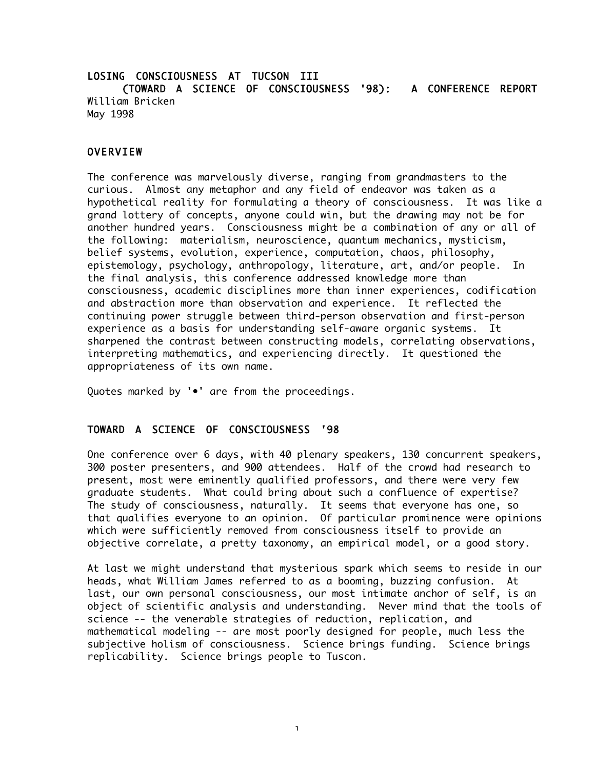# LOSING CONSCIOUSNESS AT TUCSON III (TOWARD A SCIENCE OF CONSCIOUSNESS '98): A CONFERENCE REPORT William Bricken May 1998

## **OVERVIEW**

The conference was marvelously diverse, ranging from grandmasters to the curious. Almost any metaphor and any field of endeavor was taken as a hypothetical reality for formulating a theory of consciousness. It was like a grand lottery of concepts, anyone could win, but the drawing may not be for another hundred years. Consciousness might be a combination of any or all of the following: materialism, neuroscience, quantum mechanics, mysticism, belief systems, evolution, experience, computation, chaos, philosophy, epistemology, psychology, anthropology, literature, art, and/or people. In the final analysis, this conference addressed knowledge more than consciousness, academic disciplines more than inner experiences, codification and abstraction more than observation and experience. It reflected the continuing power struggle between third-person observation and first-person experience as a basis for understanding self-aware organic systems. It sharpened the contrast between constructing models, correlating observations, interpreting mathematics, and experiencing directly. It questioned the appropriateness of its own name.

Quotes marked by '•' are from the proceedings.

## TOWARD A SCIENCE OF CONSCIOUSNESS '98

One conference over 6 days, with 40 plenary speakers, 130 concurrent speakers, 300 poster presenters, and 900 attendees. Half of the crowd had research to present, most were eminently qualified professors, and there were very few graduate students. What could bring about such a confluence of expertise? The study of consciousness, naturally. It seems that everyone has one, so that qualifies everyone to an opinion. Of particular prominence were opinions which were sufficiently removed from consciousness itself to provide an objective correlate, a pretty taxonomy, an empirical model, or a good story.

At last we might understand that mysterious spark which seems to reside in our heads, what William James referred to as a booming, buzzing confusion. At last, our own personal consciousness, our most intimate anchor of self, is an object of scientific analysis and understanding. Never mind that the tools of science -- the venerable strategies of reduction, replication, and mathematical modeling -- are most poorly designed for people, much less the subjective holism of consciousness. Science brings funding. Science brings replicability. Science brings people to Tuscon.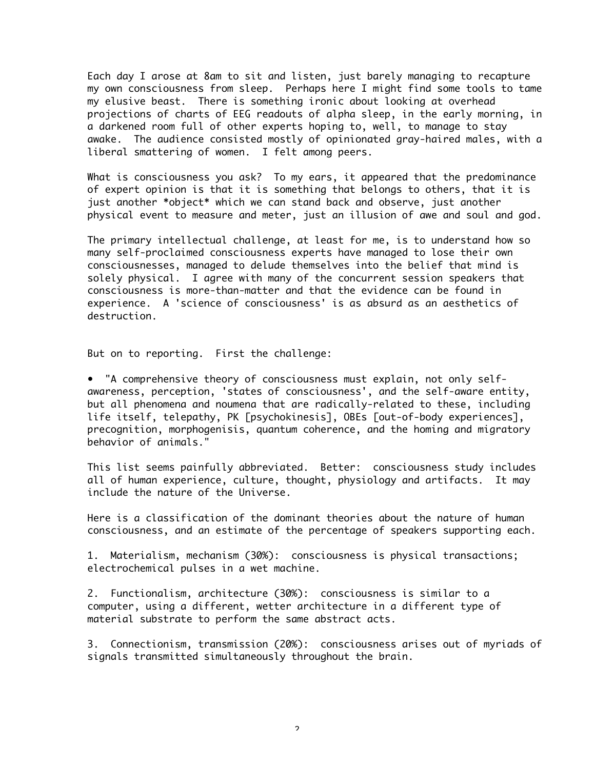Each day I arose at 8am to sit and listen, just barely managing to recapture my own consciousness from sleep. Perhaps here I might find some tools to tame my elusive beast. There is something ironic about looking at overhead projections of charts of EEG readouts of alpha sleep, in the early morning, in a darkened room full of other experts hoping to, well, to manage to stay awake. The audience consisted mostly of opinionated gray-haired males, with a liberal smattering of women. I felt among peers.

What is consciousness you ask? To my ears, it appeared that the predominance of expert opinion is that it is something that belongs to others, that it is just another \*object\* which we can stand back and observe, just another physical event to measure and meter, just an illusion of awe and soul and god.

The primary intellectual challenge, at least for me, is to understand how so many self-proclaimed consciousness experts have managed to lose their own consciousnesses, managed to delude themselves into the belief that mind is solely physical. I agree with many of the concurrent session speakers that consciousness is more-than-matter and that the evidence can be found in experience. A 'science of consciousness' is as absurd as an aesthetics of destruction.

But on to reporting. First the challenge:

• "A comprehensive theory of consciousness must explain, not only selfawareness, perception, 'states of consciousness', and the self-aware entity, but all phenomena and noumena that are radically-related to these, including life itself, telepathy, PK [psychokinesis], OBEs [out-of-body experiences], precognition, morphogenisis, quantum coherence, and the homing and migratory behavior of animals."

This list seems painfully abbreviated. Better: consciousness study includes all of human experience, culture, thought, physiology and artifacts. It may include the nature of the Universe.

Here is a classification of the dominant theories about the nature of human consciousness, and an estimate of the percentage of speakers supporting each.

1. Materialism, mechanism (30%): consciousness is physical transactions; electrochemical pulses in a wet machine.

2. Functionalism, architecture (30%): consciousness is similar to a computer, using a different, wetter architecture in a different type of material substrate to perform the same abstract acts.

3. Connectionism, transmission (20%): consciousness arises out of myriads of signals transmitted simultaneously throughout the brain.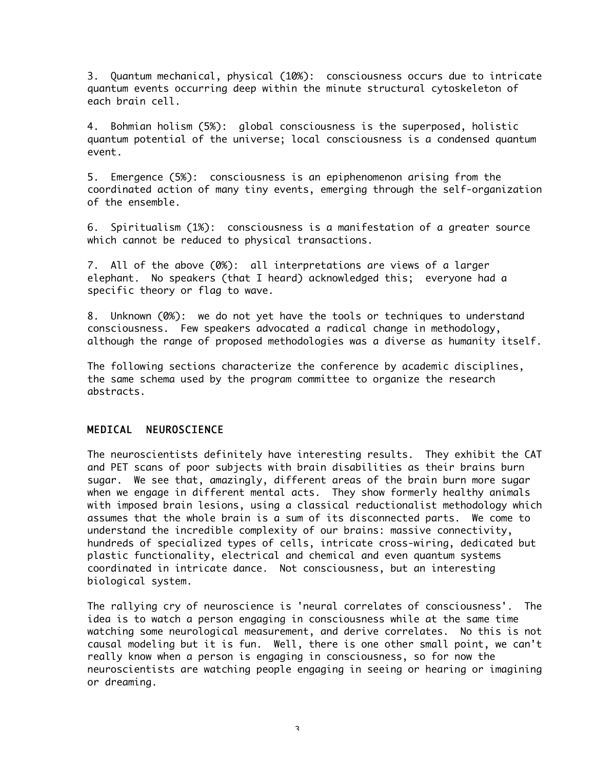3. Quantum mechanical, physical (10%): consciousness occurs due to intricate quantum events occurring deep within the minute structural cytoskeleton of each brain cell.

4. Bohmian holism (5%): global consciousness is the superposed, holistic quantum potential of the universe; local consciousness is a condensed quantum event.

5. Emergence (5%): consciousness is an epiphenomenon arising from the coordinated action of many tiny events, emerging through the self-organization of the ensemble.

6. Spiritualism (1%): consciousness is a manifestation of a greater source which cannot be reduced to physical transactions.

7. All of the above (0%): all interpretations are views of a larger elephant. No speakers (that I heard) acknowledged this; everyone had a specific theory or flag to wave.

8. Unknown (0%): we do not yet have the tools or techniques to understand consciousness. Few speakers advocated a radical change in methodology, although the range of proposed methodologies was a diverse as humanity itself.

The following sections characterize the conference by academic disciplines, the same schema used by the program committee to organize the research abstracts.

## MEDICAL NEUROSCIENCE

The neuroscientists definitely have interesting results. They exhibit the CAT and PET scans of poor subjects with brain disabilities as their brains burn sugar. We see that, amazingly, different areas of the brain burn more sugar when we engage in different mental acts. They show formerly healthy animals with imposed brain lesions, using a classical reductionalist methodology which assumes that the whole brain is a sum of its disconnected parts. We come to understand the incredible complexity of our brains: massive connectivity, hundreds of specialized types of cells, intricate cross-wiring, dedicated but plastic functionality, electrical and chemical and even quantum systems coordinated in intricate dance. Not consciousness, but an interesting biological system.

The rallying cry of neuroscience is 'neural correlates of consciousness'. The idea is to watch a person engaging in consciousness while at the same time watching some neurological measurement, and derive correlates. No this is not causal modeling but it is fun. Well, there is one other small point, we can't really know when a person is engaging in consciousness, so for now the neuroscientists are watching people engaging in seeing or hearing or imagining or dreaming.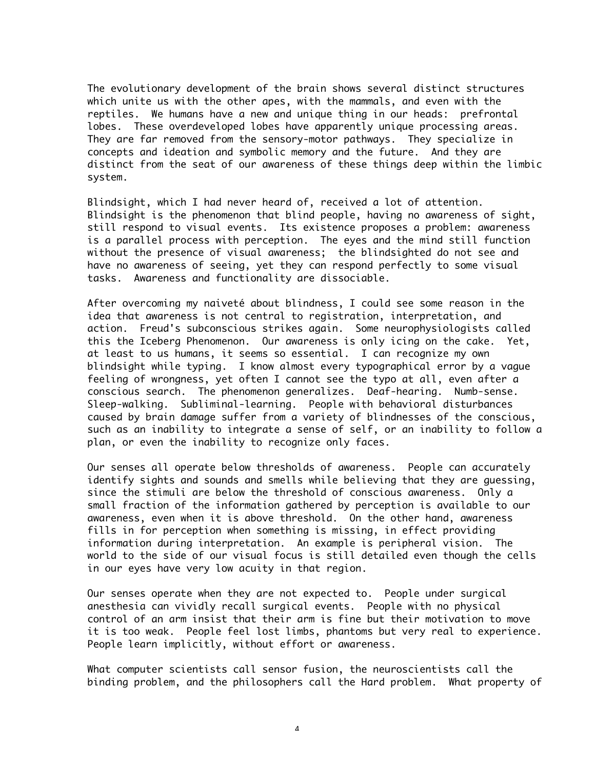The evolutionary development of the brain shows several distinct structures which unite us with the other apes, with the mammals, and even with the reptiles. We humans have a new and unique thing in our heads: prefrontal lobes. These overdeveloped lobes have apparently unique processing areas. They are far removed from the sensory-motor pathways. They specialize in concepts and ideation and symbolic memory and the future. And they are distinct from the seat of our awareness of these things deep within the limbic system.

Blindsight, which I had never heard of, received a lot of attention. Blindsight is the phenomenon that blind people, having no awareness of sight, still respond to visual events. Its existence proposes a problem: awareness is a parallel process with perception. The eyes and the mind still function without the presence of visual awareness; the blindsighted do not see and have no awareness of seeing, yet they can respond perfectly to some visual tasks. Awareness and functionality are dissociable.

After overcoming my naiveté about blindness, I could see some reason in the idea that awareness is not central to registration, interpretation, and action. Freud's subconscious strikes again. Some neurophysiologists called this the Iceberg Phenomenon. Our awareness is only icing on the cake. Yet, at least to us humans, it seems so essential. I can recognize my own blindsight while typing. I know almost every typographical error by a vague feeling of wrongness, yet often I cannot see the typo at all, even after a conscious search. The phenomenon generalizes. Deaf-hearing. Numb-sense. Sleep-walking. Subliminal-learning. People with behavioral disturbances caused by brain damage suffer from a variety of blindnesses of the conscious, such as an inability to integrate a sense of self, or an inability to follow a plan, or even the inability to recognize only faces.

Our senses all operate below thresholds of awareness. People can accurately identify sights and sounds and smells while believing that they are guessing, since the stimuli are below the threshold of conscious awareness. Only a small fraction of the information gathered by perception is available to our awareness, even when it is above threshold. On the other hand, awareness fills in for perception when something is missing, in effect providing information during interpretation. An example is peripheral vision. The world to the side of our visual focus is still detailed even though the cells in our eyes have very low acuity in that region.

Our senses operate when they are not expected to. People under surgical anesthesia can vividly recall surgical events. People with no physical control of an arm insist that their arm is fine but their motivation to move it is too weak. People feel lost limbs, phantoms but very real to experience. People learn implicitly, without effort or awareness.

What computer scientists call sensor fusion, the neuroscientists call the binding problem, and the philosophers call the Hard problem. What property of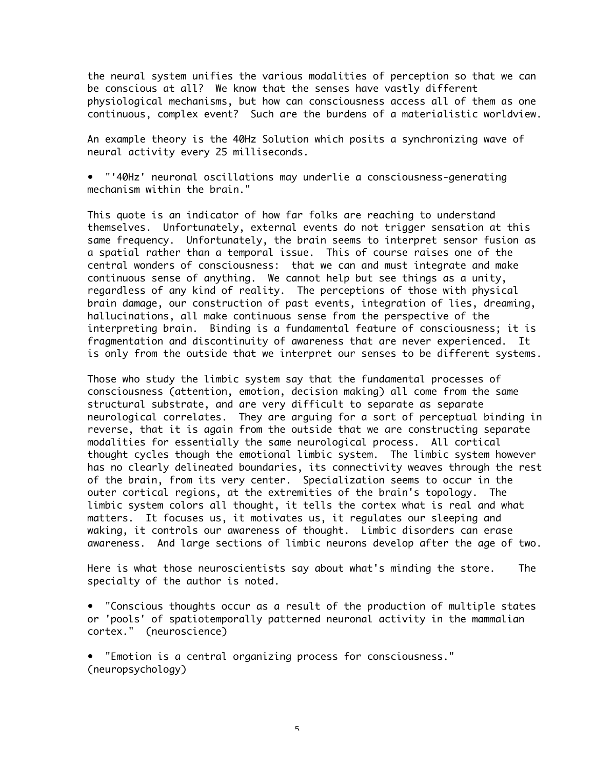the neural system unifies the various modalities of perception so that we can be conscious at all? We know that the senses have vastly different physiological mechanisms, but how can consciousness access all of them as one continuous, complex event? Such are the burdens of a materialistic worldview.

An example theory is the 40Hz Solution which posits a synchronizing wave of neural activity every 25 milliseconds.

• "'40Hz' neuronal oscillations may underlie a consciousness-generating mechanism within the brain."

This quote is an indicator of how far folks are reaching to understand themselves. Unfortunately, external events do not trigger sensation at this same frequency. Unfortunately, the brain seems to interpret sensor fusion as a spatial rather than a temporal issue. This of course raises one of the central wonders of consciousness: that we can and must integrate and make continuous sense of anything. We cannot help but see things as a unity, regardless of any kind of reality. The perceptions of those with physical brain damage, our construction of past events, integration of lies, dreaming, hallucinations, all make continuous sense from the perspective of the interpreting brain. Binding is a fundamental feature of consciousness; it is fragmentation and discontinuity of awareness that are never experienced. It is only from the outside that we interpret our senses to be different systems.

Those who study the limbic system say that the fundamental processes of consciousness (attention, emotion, decision making) all come from the same structural substrate, and are very difficult to separate as separate neurological correlates. They are arguing for a sort of perceptual binding in reverse, that it is again from the outside that we are constructing separate modalities for essentially the same neurological process. All cortical thought cycles though the emotional limbic system. The limbic system however has no clearly delineated boundaries, its connectivity weaves through the rest of the brain, from its very center. Specialization seems to occur in the outer cortical regions, at the extremities of the brain's topology. The limbic system colors all thought, it tells the cortex what is real and what matters. It focuses us, it motivates us, it regulates our sleeping and waking, it controls our awareness of thought. Limbic disorders can erase awareness. And large sections of limbic neurons develop after the age of two.

Here is what those neuroscientists say about what's minding the store. The specialty of the author is noted.

• "Conscious thoughts occur as a result of the production of multiple states or 'pools' of spatiotemporally patterned neuronal activity in the mammalian cortex." (neuroscience)

• "Emotion is a central organizing process for consciousness." (neuropsychology)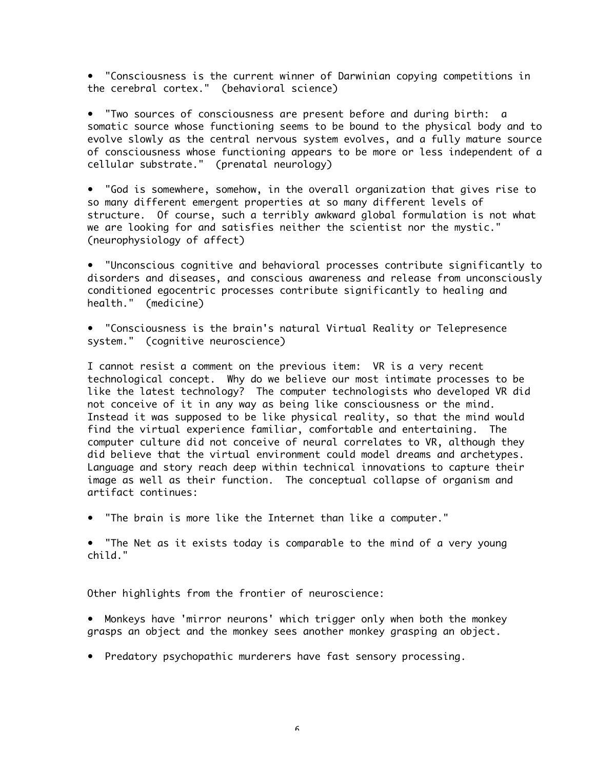• "Consciousness is the current winner of Darwinian copying competitions in the cerebral cortex." (behavioral science)

• "Two sources of consciousness are present before and during birth: a somatic source whose functioning seems to be bound to the physical body and to evolve slowly as the central nervous system evolves, and a fully mature source of consciousness whose functioning appears to be more or less independent of a cellular substrate." (prenatal neurology)

• "God is somewhere, somehow, in the overall organization that gives rise to so many different emergent properties at so many different levels of structure. Of course, such a terribly awkward global formulation is not what we are looking for and satisfies neither the scientist nor the mystic." (neurophysiology of affect)

• "Unconscious cognitive and behavioral processes contribute significantly to disorders and diseases, and conscious awareness and release from unconsciously conditioned egocentric processes contribute significantly to healing and health." (medicine)

• "Consciousness is the brain's natural Virtual Reality or Telepresence system." (cognitive neuroscience)

I cannot resist a comment on the previous item: VR is a very recent technological concept. Why do we believe our most intimate processes to be like the latest technology? The computer technologists who developed VR did not conceive of it in any way as being like consciousness or the mind. Instead it was supposed to be like physical reality, so that the mind would find the virtual experience familiar, comfortable and entertaining. The computer culture did not conceive of neural correlates to VR, although they did believe that the virtual environment could model dreams and archetypes. Language and story reach deep within technical innovations to capture their image as well as their function. The conceptual collapse of organism and artifact continues:

• "The brain is more like the Internet than like a computer."

• "The Net as it exists today is comparable to the mind of a very young child."

Other highlights from the frontier of neuroscience:

• Monkeys have 'mirror neurons' which trigger only when both the monkey grasps an object and the monkey sees another monkey grasping an object.

• Predatory psychopathic murderers have fast sensory processing.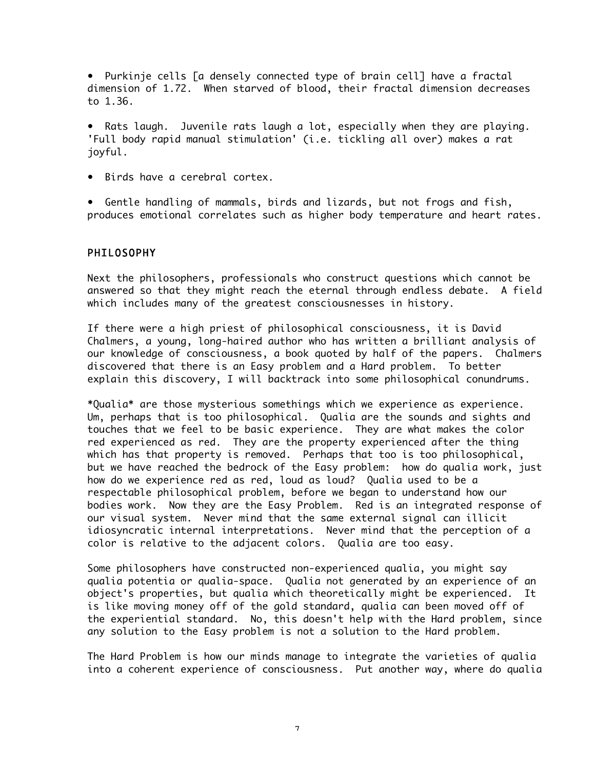• Purkinje cells [a densely connected type of brain cell] have a fractal dimension of 1.72. When starved of blood, their fractal dimension decreases to 1.36.

• Rats laugh. Juvenile rats laugh a lot, especially when they are playing. 'Full body rapid manual stimulation' (i.e. tickling all over) makes a rat joyful.

• Birds have a cerebral cortex.

• Gentle handling of mammals, birds and lizards, but not frogs and fish, produces emotional correlates such as higher body temperature and heart rates.

## PHILOSOPHY

Next the philosophers, professionals who construct questions which cannot be answered so that they might reach the eternal through endless debate. A field which includes many of the greatest consciousnesses in history.

If there were a high priest of philosophical consciousness, it is David Chalmers, a young, long-haired author who has written a brilliant analysis of our knowledge of consciousness, a book quoted by half of the papers. Chalmers discovered that there is an Easy problem and a Hard problem. To better explain this discovery, I will backtrack into some philosophical conundrums.

\*Qualia\* are those mysterious somethings which we experience as experience. Um, perhaps that is too philosophical. Qualia are the sounds and sights and touches that we feel to be basic experience. They are what makes the color red experienced as red. They are the property experienced after the thing which has that property is removed. Perhaps that too is too philosophical, but we have reached the bedrock of the Easy problem: how do qualia work, just how do we experience red as red, loud as loud? Qualia used to be a respectable philosophical problem, before we began to understand how our bodies work. Now they are the Easy Problem. Red is an integrated response of our visual system. Never mind that the same external signal can illicit idiosyncratic internal interpretations. Never mind that the perception of a color is relative to the adjacent colors. Qualia are too easy.

Some philosophers have constructed non-experienced qualia, you might say qualia potentia or qualia-space. Qualia not generated by an experience of an object's properties, but qualia which theoretically might be experienced. It is like moving money off of the gold standard, qualia can been moved off of the experiential standard. No, this doesn't help with the Hard problem, since any solution to the Easy problem is not a solution to the Hard problem.

The Hard Problem is how our minds manage to integrate the varieties of qualia into a coherent experience of consciousness. Put another way, where do qualia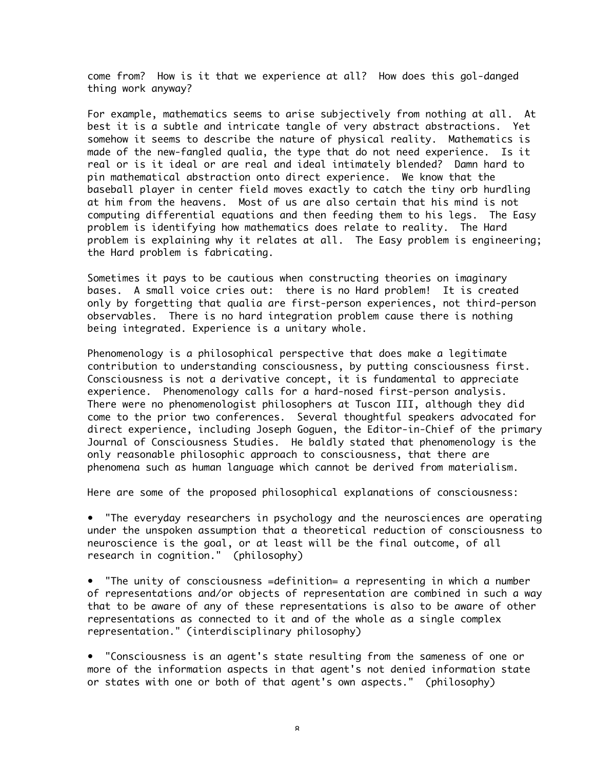come from? How is it that we experience at all? How does this gol-danged thing work anyway?

For example, mathematics seems to arise subjectively from nothing at all. At best it is a subtle and intricate tangle of very abstract abstractions. Yet somehow it seems to describe the nature of physical reality. Mathematics is made of the new-fangled qualia, the type that do not need experience. Is it real or is it ideal or are real and ideal intimately blended? Damn hard to pin mathematical abstraction onto direct experience. We know that the baseball player in center field moves exactly to catch the tiny orb hurdling at him from the heavens. Most of us are also certain that his mind is not computing differential equations and then feeding them to his legs. The Easy problem is identifying how mathematics does relate to reality. The Hard problem is explaining why it relates at all. The Easy problem is engineering; the Hard problem is fabricating.

Sometimes it pays to be cautious when constructing theories on imaginary bases. A small voice cries out: there is no Hard problem! It is created only by forgetting that qualia are first-person experiences, not third-person observables. There is no hard integration problem cause there is nothing being integrated. Experience is a unitary whole.

Phenomenology is a philosophical perspective that does make a legitimate contribution to understanding consciousness, by putting consciousness first. Consciousness is not a derivative concept, it is fundamental to appreciate experience. Phenomenology calls for a hard-nosed first-person analysis. There were no phenomenologist philosophers at Tuscon III, although they did come to the prior two conferences. Several thoughtful speakers advocated for direct experience, including Joseph Goguen, the Editor-in-Chief of the primary Journal of Consciousness Studies. He baldly stated that phenomenology is the only reasonable philosophic approach to consciousness, that there are phenomena such as human language which cannot be derived from materialism.

Here are some of the proposed philosophical explanations of consciousness:

• "The everyday researchers in psychology and the neurosciences are operating under the unspoken assumption that a theoretical reduction of consciousness to neuroscience is the goal, or at least will be the final outcome, of all research in cognition." (philosophy)

• "The unity of consciousness =definition= a representing in which a number of representations and/or objects of representation are combined in such a way that to be aware of any of these representations is also to be aware of other representations as connected to it and of the whole as a single complex representation." (interdisciplinary philosophy)

• "Consciousness is an agent's state resulting from the sameness of one or more of the information aspects in that agent's not denied information state or states with one or both of that agent's own aspects." (philosophy)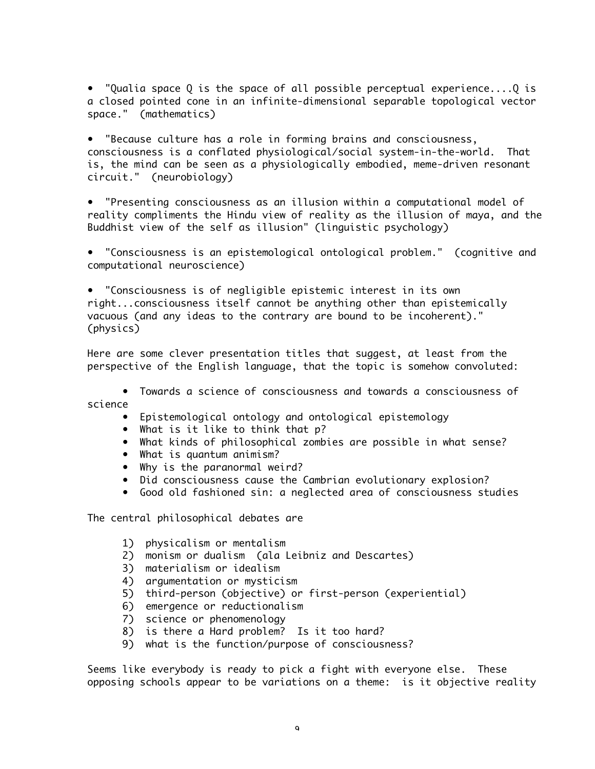• "Qualia space Q is the space of all possible perceptual experience....Q is a closed pointed cone in an infinite-dimensional separable topological vector space." (mathematics)

• "Because culture has a role in forming brains and consciousness, consciousness is a conflated physiological/social system-in-the-world. That is, the mind can be seen as a physiologically embodied, meme-driven resonant circuit." (neurobiology)

• "Presenting consciousness as an illusion within a computational model of reality compliments the Hindu view of reality as the illusion of maya, and the Buddhist view of the self as illusion" (linguistic psychology)

• "Consciousness is an epistemological ontological problem." (cognitive and computational neuroscience)

• "Consciousness is of negligible epistemic interest in its own right...consciousness itself cannot be anything other than epistemically vacuous (and any ideas to the contrary are bound to be incoherent)." (physics)

Here are some clever presentation titles that suggest, at least from the perspective of the English language, that the topic is somehow convoluted:

• Towards a science of consciousness and towards a consciousness of science

- Epistemological ontology and ontological epistemology
- What is it like to think that p?
- What kinds of philosophical zombies are possible in what sense?
- What is quantum animism?
- Why is the paranormal weird?
- Did consciousness cause the Cambrian evolutionary explosion?
- Good old fashioned sin: a neglected area of consciousness studies

The central philosophical debates are

- 1) physicalism or mentalism
- 2) monism or dualism (ala Leibniz and Descartes)
- 3) materialism or idealism
- 4) argumentation or mysticism
- 5) third-person (objective) or first-person (experiential)
- 6) emergence or reductionalism
- 7) science or phenomenology
- 8) is there a Hard problem? Is it too hard?
- 9) what is the function/purpose of consciousness?

Seems like everybody is ready to pick a fight with everyone else. These opposing schools appear to be variations on a theme: is it objective reality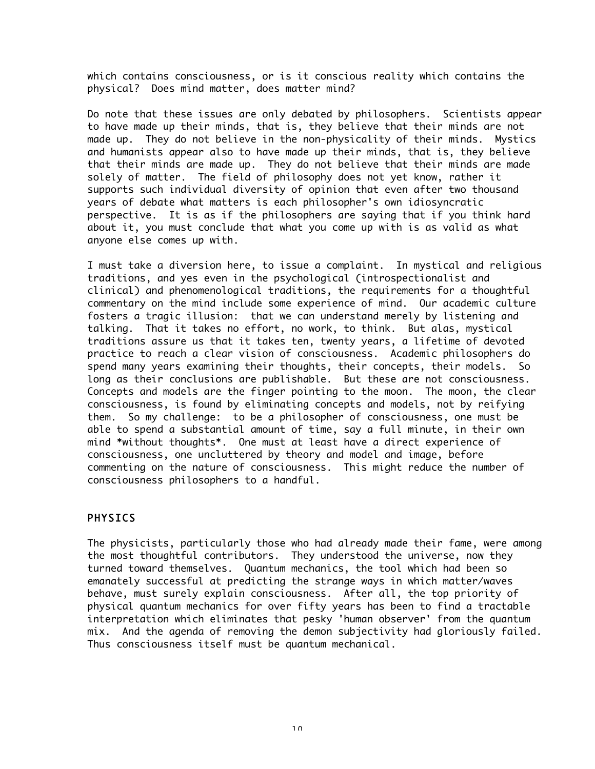which contains consciousness, or is it conscious reality which contains the physical? Does mind matter, does matter mind?

Do note that these issues are only debated by philosophers. Scientists appear to have made up their minds, that is, they believe that their minds are not made up. They do not believe in the non-physicality of their minds. Mystics and humanists appear also to have made up their minds, that is, they believe that their minds are made up. They do not believe that their minds are made solely of matter. The field of philosophy does not yet know, rather it supports such individual diversity of opinion that even after two thousand years of debate what matters is each philosopher's own idiosyncratic perspective. It is as if the philosophers are saying that if you think hard about it, you must conclude that what you come up with is as valid as what anyone else comes up with.

I must take a diversion here, to issue a complaint. In mystical and religious traditions, and yes even in the psychological (introspectionalist and clinical) and phenomenological traditions, the requirements for a thoughtful commentary on the mind include some experience of mind. Our academic culture fosters a tragic illusion: that we can understand merely by listening and talking. That it takes no effort, no work, to think. But alas, mystical traditions assure us that it takes ten, twenty years, a lifetime of devoted practice to reach a clear vision of consciousness. Academic philosophers do spend many years examining their thoughts, their concepts, their models. So long as their conclusions are publishable. But these are not consciousness. Concepts and models are the finger pointing to the moon. The moon, the clear consciousness, is found by eliminating concepts and models, not by reifying them. So my challenge: to be a philosopher of consciousness, one must be able to spend a substantial amount of time, say a full minute, in their own mind \*without thoughts\*. One must at least have a direct experience of consciousness, one uncluttered by theory and model and image, before commenting on the nature of consciousness. This might reduce the number of consciousness philosophers to a handful.

# **PHYSICS**

The physicists, particularly those who had already made their fame, were among the most thoughtful contributors. They understood the universe, now they turned toward themselves. Quantum mechanics, the tool which had been so emanately successful at predicting the strange ways in which matter/waves behave, must surely explain consciousness. After all, the top priority of physical quantum mechanics for over fifty years has been to find a tractable interpretation which eliminates that pesky 'human observer' from the quantum mix. And the agenda of removing the demon subjectivity had gloriously failed. Thus consciousness itself must be quantum mechanical.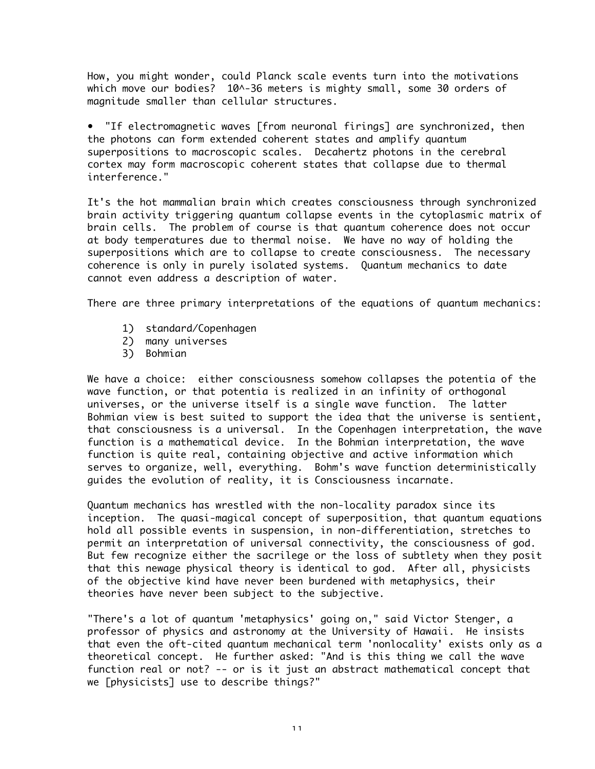How, you might wonder, could Planck scale events turn into the motivations which move our bodies? 10^-36 meters is mighty small, some 30 orders of magnitude smaller than cellular structures.

• "If electromagnetic waves [from neuronal firings] are synchronized, then the photons can form extended coherent states and amplify quantum superpositions to macroscopic scales. Decahertz photons in the cerebral cortex may form macroscopic coherent states that collapse due to thermal interference."

It's the hot mammalian brain which creates consciousness through synchronized brain activity triggering quantum collapse events in the cytoplasmic matrix of brain cells. The problem of course is that quantum coherence does not occur at body temperatures due to thermal noise. We have no way of holding the superpositions which are to collapse to create consciousness. The necessary coherence is only in purely isolated systems. Quantum mechanics to date cannot even address a description of water.

There are three primary interpretations of the equations of quantum mechanics:

- 1) standard/Copenhagen
- 2) many universes
- 3) Bohmian

We have a choice: either consciousness somehow collapses the potentia of the wave function, or that potentia is realized in an infinity of orthogonal universes, or the universe itself is a single wave function. The latter Bohmian view is best suited to support the idea that the universe is sentient, that consciousness is a universal. In the Copenhagen interpretation, the wave function is a mathematical device. In the Bohmian interpretation, the wave function is quite real, containing objective and active information which serves to organize, well, everything. Bohm's wave function deterministically guides the evolution of reality, it is Consciousness incarnate.

Quantum mechanics has wrestled with the non-locality paradox since its inception. The quasi-magical concept of superposition, that quantum equations hold all possible events in suspension, in non-differentiation, stretches to permit an interpretation of universal connectivity, the consciousness of god. But few recognize either the sacrilege or the loss of subtlety when they posit that this newage physical theory is identical to god. After all, physicists of the objective kind have never been burdened with metaphysics, their theories have never been subject to the subjective.

"There's a lot of quantum 'metaphysics' going on," said Victor Stenger, a professor of physics and astronomy at the University of Hawaii. He insists that even the oft-cited quantum mechanical term 'nonlocality' exists only as a theoretical concept. He further asked: "And is this thing we call the wave function real or not? -- or is it just an abstract mathematical concept that we [physicists] use to describe things?"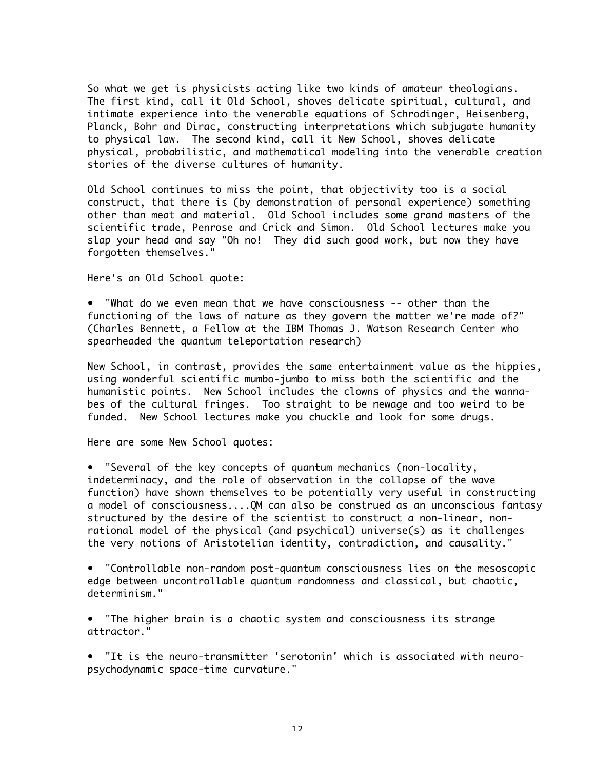So what we get is physicists acting like two kinds of amateur theologians. The first kind, call it Old School, shoves delicate spiritual, cultural, and intimate experience into the venerable equations of Schrodinger, Heisenberg, Planck, Bohr and Dirac, constructing interpretations which subjugate humanity to physical law. The second kind, call it New School, shoves delicate physical, probabilistic, and mathematical modeling into the venerable creation stories of the diverse cultures of humanity.

Old School continues to miss the point, that objectivity too is a social construct, that there is (by demonstration of personal experience) something other than meat and material. Old School includes some grand masters of the scientific trade, Penrose and Crick and Simon. Old School lectures make you slap your head and say "Oh no! They did such good work, but now they have forgotten themselves."

Here's an Old School quote:

• "What do we even mean that we have consciousness -- other than the functioning of the laws of nature as they govern the matter we're made of?" (Charles Bennett, a Fellow at the IBM Thomas J. Watson Research Center who spearheaded the quantum teleportation research)

New School, in contrast, provides the same entertainment value as the hippies, using wonderful scientific mumbo-jumbo to miss both the scientific and the humanistic points. New School includes the clowns of physics and the wannabes of the cultural fringes. Too straight to be newage and too weird to be funded. New School lectures make you chuckle and look for some drugs.

Here are some New School quotes:

• "Several of the key concepts of quantum mechanics (non-locality, indeterminacy, and the role of observation in the collapse of the wave function) have shown themselves to be potentially very useful in constructing a model of consciousness....QM can also be construed as an unconscious fantasy structured by the desire of the scientist to construct a non-linear, nonrational model of the physical (and psychical) universe(s) as it challenges the very notions of Aristotelian identity, contradiction, and causality."

• "Controllable non-random post-quantum consciousness lies on the mesoscopic edge between uncontrollable quantum randomness and classical, but chaotic, determinism."

• "The higher brain is a chaotic system and consciousness its strange attractor."

• "It is the neuro-transmitter 'serotonin' which is associated with neuropsychodynamic space-time curvature."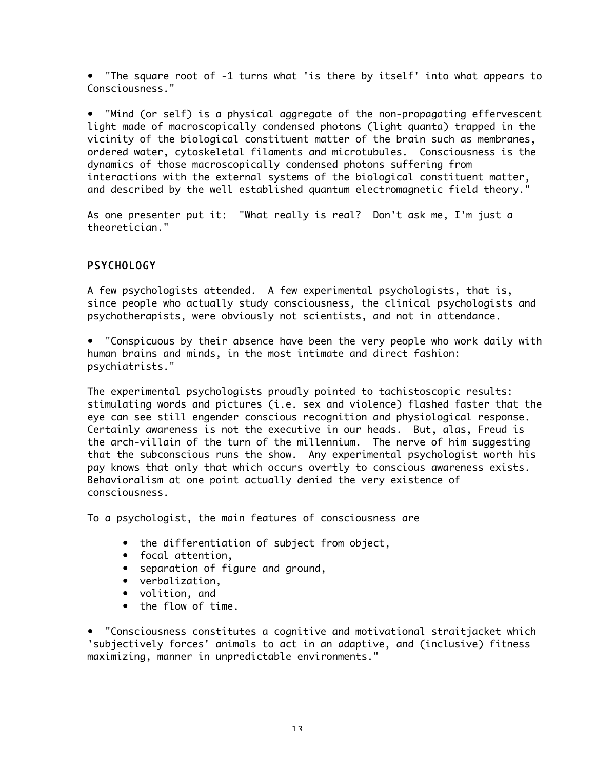• "The square root of -1 turns what 'is there by itself' into what appears to Consciousness."

• "Mind (or self) is a physical aggregate of the non-propagating effervescent light made of macroscopically condensed photons (light quanta) trapped in the vicinity of the biological constituent matter of the brain such as membranes, ordered water, cytoskeletal filaments and microtubules. Consciousness is the dynamics of those macroscopically condensed photons suffering from interactions with the external systems of the biological constituent matter, and described by the well established quantum electromagnetic field theory."

As one presenter put it: "What really is real? Don't ask me, I'm just a theoretician."

# PSYCHOLOGY

A few psychologists attended. A few experimental psychologists, that is, since people who actually study consciousness, the clinical psychologists and psychotherapists, were obviously not scientists, and not in attendance.

• "Conspicuous by their absence have been the very people who work daily with human brains and minds, in the most intimate and direct fashion: psychiatrists."

The experimental psychologists proudly pointed to tachistoscopic results: stimulating words and pictures (i.e. sex and violence) flashed faster that the eye can see still engender conscious recognition and physiological response. Certainly awareness is not the executive in our heads. But, alas, Freud is the arch-villain of the turn of the millennium. The nerve of him suggesting that the subconscious runs the show. Any experimental psychologist worth his pay knows that only that which occurs overtly to conscious awareness exists. Behavioralism at one point actually denied the very existence of consciousness.

To a psychologist, the main features of consciousness are

- the differentiation of subject from object,
- focal attention,
- separation of figure and ground,
- verbalization,
- volition, and
- the flow of time.

• "Consciousness constitutes a cognitive and motivational straitjacket which 'subjectively forces' animals to act in an adaptive, and (inclusive) fitness maximizing, manner in unpredictable environments."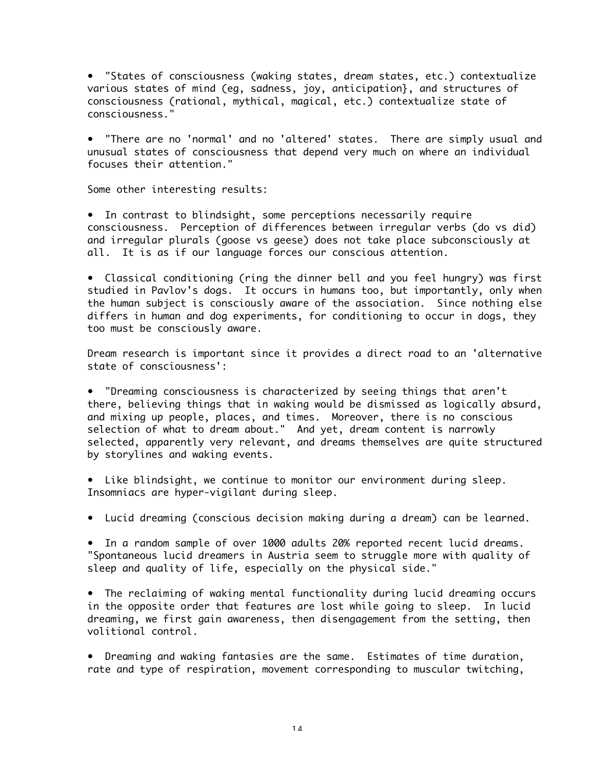• "States of consciousness (waking states, dream states, etc.) contextualize various states of mind (eg, sadness, joy, anticipation}, and structures of consciousness (rational, mythical, magical, etc.) contextualize state of consciousness."

• "There are no 'normal' and no 'altered' states. There are simply usual and unusual states of consciousness that depend very much on where an individual focuses their attention."

Some other interesting results:

• In contrast to blindsight, some perceptions necessarily require consciousness. Perception of differences between irregular verbs (do vs did) and irregular plurals (goose vs geese) does not take place subconsciously at all. It is as if our language forces our conscious attention.

• Classical conditioning (ring the dinner bell and you feel hungry) was first studied in Pavlov's dogs. It occurs in humans too, but importantly, only when the human subject is consciously aware of the association. Since nothing else differs in human and dog experiments, for conditioning to occur in dogs, they too must be consciously aware.

Dream research is important since it provides a direct road to an 'alternative state of consciousness':

• "Dreaming consciousness is characterized by seeing things that aren't there, believing things that in waking would be dismissed as logically absurd, and mixing up people, places, and times. Moreover, there is no conscious selection of what to dream about." And yet, dream content is narrowly selected, apparently very relevant, and dreams themselves are quite structured by storylines and waking events.

• Like blindsight, we continue to monitor our environment during sleep. Insomniacs are hyper-vigilant during sleep.

• Lucid dreaming (conscious decision making during a dream) can be learned.

• In a random sample of over 1000 adults 20% reported recent lucid dreams. "Spontaneous lucid dreamers in Austria seem to struggle more with quality of sleep and quality of life, especially on the physical side."

• The reclaiming of waking mental functionality during lucid dreaming occurs in the opposite order that features are lost while going to sleep. In lucid dreaming, we first gain awareness, then disengagement from the setting, then volitional control.

• Dreaming and waking fantasies are the same. Estimates of time duration, rate and type of respiration, movement corresponding to muscular twitching,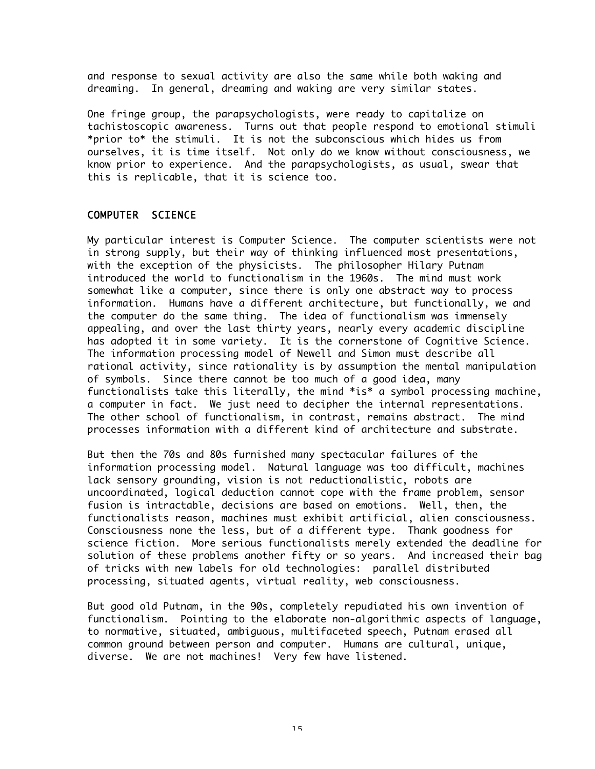and response to sexual activity are also the same while both waking and dreaming. In general, dreaming and waking are very similar states.

One fringe group, the parapsychologists, were ready to capitalize on tachistoscopic awareness. Turns out that people respond to emotional stimuli \*prior to\* the stimuli. It is not the subconscious which hides us from ourselves, it is time itself. Not only do we know without consciousness, we know prior to experience. And the parapsychologists, as usual, swear that this is replicable, that it is science too.

## COMPUTER SCIENCE

My particular interest is Computer Science. The computer scientists were not in strong supply, but their way of thinking influenced most presentations, with the exception of the physicists. The philosopher Hilary Putnam introduced the world to functionalism in the 1960s. The mind must work somewhat like a computer, since there is only one abstract way to process information. Humans have a different architecture, but functionally, we and the computer do the same thing. The idea of functionalism was immensely appealing, and over the last thirty years, nearly every academic discipline has adopted it in some variety. It is the cornerstone of Cognitive Science. The information processing model of Newell and Simon must describe all rational activity, since rationality is by assumption the mental manipulation of symbols. Since there cannot be too much of a good idea, many functionalists take this literally, the mind \*is\* a symbol processing machine, a computer in fact. We just need to decipher the internal representations. The other school of functionalism, in contrast, remains abstract. The mind processes information with a different kind of architecture and substrate.

But then the 70s and 80s furnished many spectacular failures of the information processing model. Natural language was too difficult, machines lack sensory grounding, vision is not reductionalistic, robots are uncoordinated, logical deduction cannot cope with the frame problem, sensor fusion is intractable, decisions are based on emotions. Well, then, the functionalists reason, machines must exhibit artificial, alien consciousness. Consciousness none the less, but of a different type. Thank goodness for science fiction. More serious functionalists merely extended the deadline for solution of these problems another fifty or so years. And increased their bag of tricks with new labels for old technologies: parallel distributed processing, situated agents, virtual reality, web consciousness.

But good old Putnam, in the 90s, completely repudiated his own invention of functionalism. Pointing to the elaborate non-algorithmic aspects of language, to normative, situated, ambiguous, multifaceted speech, Putnam erased all common ground between person and computer. Humans are cultural, unique, diverse. We are not machines! Very few have listened.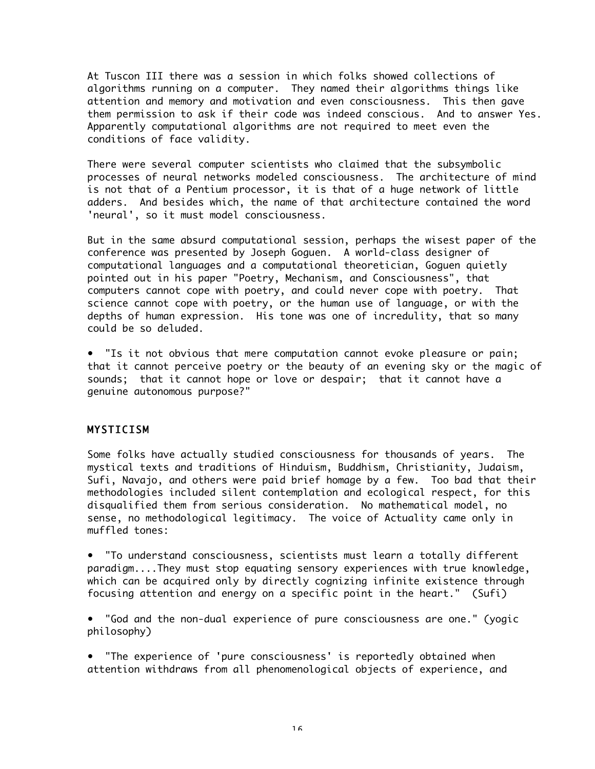At Tuscon III there was a session in which folks showed collections of algorithms running on a computer. They named their algorithms things like attention and memory and motivation and even consciousness. This then gave them permission to ask if their code was indeed conscious. And to answer Yes. Apparently computational algorithms are not required to meet even the conditions of face validity.

There were several computer scientists who claimed that the subsymbolic processes of neural networks modeled consciousness. The architecture of mind is not that of a Pentium processor, it is that of a huge network of little adders. And besides which, the name of that architecture contained the word 'neural', so it must model consciousness.

But in the same absurd computational session, perhaps the wisest paper of the conference was presented by Joseph Goguen. A world-class designer of computational languages and a computational theoretician, Goguen quietly pointed out in his paper "Poetry, Mechanism, and Consciousness", that computers cannot cope with poetry, and could never cope with poetry. That science cannot cope with poetry, or the human use of language, or with the depths of human expression. His tone was one of incredulity, that so many could be so deluded.

• "Is it not obvious that mere computation cannot evoke pleasure or pain; that it cannot perceive poetry or the beauty of an evening sky or the magic of sounds; that it cannot hope or love or despair; that it cannot have a genuine autonomous purpose?"

# MYSTICISM

Some folks have actually studied consciousness for thousands of years. The mystical texts and traditions of Hinduism, Buddhism, Christianity, Judaism, Sufi, Navajo, and others were paid brief homage by a few. Too bad that their methodologies included silent contemplation and ecological respect, for this disqualified them from serious consideration. No mathematical model, no sense, no methodological legitimacy. The voice of Actuality came only in muffled tones:

• "To understand consciousness, scientists must learn a totally different paradigm....They must stop equating sensory experiences with true knowledge, which can be acquired only by directly cognizing infinite existence through focusing attention and energy on a specific point in the heart." (Sufi)

• "God and the non-dual experience of pure consciousness are one." (yogic philosophy)

• "The experience of 'pure consciousness' is reportedly obtained when attention withdraws from all phenomenological objects of experience, and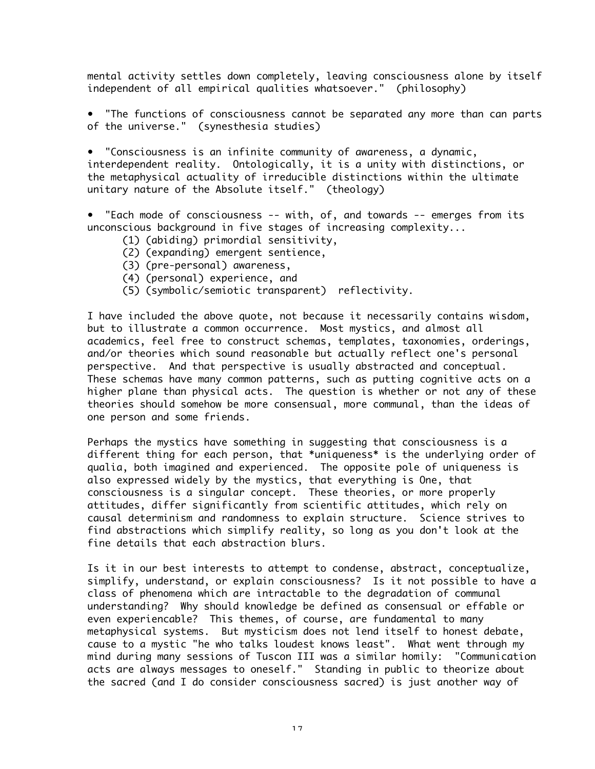mental activity settles down completely, leaving consciousness alone by itself independent of all empirical qualities whatsoever." (philosophy)

• "The functions of consciousness cannot be separated any more than can parts of the universe." (synesthesia studies)

• "Consciousness is an infinite community of awareness, a dynamic, interdependent reality. Ontologically, it is a unity with distinctions, or the metaphysical actuality of irreducible distinctions within the ultimate unitary nature of the Absolute itself." (theology)

• "Each mode of consciousness -- with, of, and towards -- emerges from its unconscious background in five stages of increasing complexity...

- (1) (abiding) primordial sensitivity,
- (2) (expanding) emergent sentience,
- (3) (pre-personal) awareness,
- (4) (personal) experience, and
- (5) (symbolic/semiotic transparent) reflectivity.

I have included the above quote, not because it necessarily contains wisdom, but to illustrate a common occurrence. Most mystics, and almost all academics, feel free to construct schemas, templates, taxonomies, orderings, and/or theories which sound reasonable but actually reflect one's personal perspective. And that perspective is usually abstracted and conceptual. These schemas have many common patterns, such as putting cognitive acts on a higher plane than physical acts. The question is whether or not any of these theories should somehow be more consensual, more communal, than the ideas of one person and some friends.

Perhaps the mystics have something in suggesting that consciousness is a different thing for each person, that \*uniqueness\* is the underlying order of qualia, both imagined and experienced. The opposite pole of uniqueness is also expressed widely by the mystics, that everything is One, that consciousness is a singular concept. These theories, or more properly attitudes, differ significantly from scientific attitudes, which rely on causal determinism and randomness to explain structure. Science strives to find abstractions which simplify reality, so long as you don't look at the fine details that each abstraction blurs.

Is it in our best interests to attempt to condense, abstract, conceptualize, simplify, understand, or explain consciousness? Is it not possible to have a class of phenomena which are intractable to the degradation of communal understanding? Why should knowledge be defined as consensual or effable or even experiencable? This themes, of course, are fundamental to many metaphysical systems. But mysticism does not lend itself to honest debate, cause to a mystic "he who talks loudest knows least". What went through my mind during many sessions of Tuscon III was a similar homily: "Communication acts are always messages to oneself." Standing in public to theorize about the sacred (and I do consider consciousness sacred) is just another way of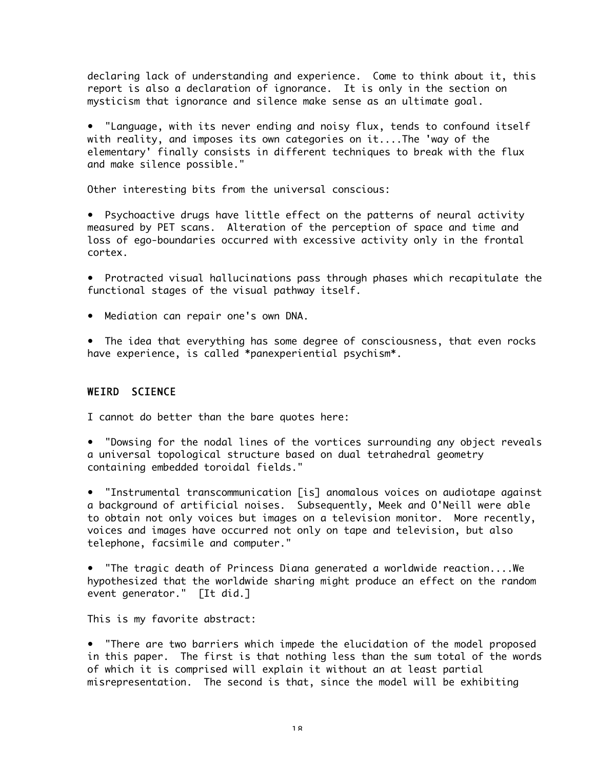declaring lack of understanding and experience. Come to think about it, this report is also a declaration of ignorance. It is only in the section on mysticism that ignorance and silence make sense as an ultimate goal.

• "Language, with its never ending and noisy flux, tends to confound itself with reality, and imposes its own categories on it....The 'way of the elementary' finally consists in different techniques to break with the flux and make silence possible."

Other interesting bits from the universal conscious:

• Psychoactive drugs have little effect on the patterns of neural activity measured by PET scans. Alteration of the perception of space and time and loss of ego-boundaries occurred with excessive activity only in the frontal cortex.

• Protracted visual hallucinations pass through phases which recapitulate the functional stages of the visual pathway itself.

• Mediation can repair one's own DNA.

• The idea that everything has some degree of consciousness, that even rocks have experience, is called \*panexperiential psychism\*.

## WEIRD SCIENCE

I cannot do better than the bare quotes here:

• "Dowsing for the nodal lines of the vortices surrounding any object reveals a universal topological structure based on dual tetrahedral geometry containing embedded toroidal fields."

• "Instrumental transcommunication [is] anomalous voices on audiotape against a background of artificial noises. Subsequently, Meek and O'Neill were able to obtain not only voices but images on a television monitor. More recently, voices and images have occurred not only on tape and television, but also telephone, facsimile and computer."

• "The tragic death of Princess Diana generated a worldwide reaction....We hypothesized that the worldwide sharing might produce an effect on the random event generator." [It did.]

This is my favorite abstract:

• "There are two barriers which impede the elucidation of the model proposed in this paper. The first is that nothing less than the sum total of the words of which it is comprised will explain it without an at least partial misrepresentation. The second is that, since the model will be exhibiting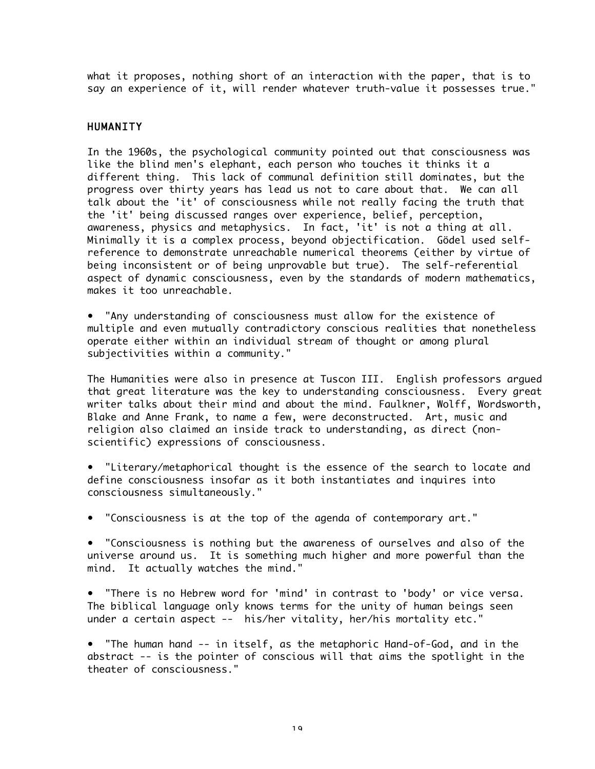what it proposes, nothing short of an interaction with the paper, that is to say an experience of it, will render whatever truth-value it possesses true."

#### HUMANITY

In the 1960s, the psychological community pointed out that consciousness was like the blind men's elephant, each person who touches it thinks it a different thing. This lack of communal definition still dominates, but the progress over thirty years has lead us not to care about that. We can all talk about the 'it' of consciousness while not really facing the truth that the 'it' being discussed ranges over experience, belief, perception, awareness, physics and metaphysics. In fact, 'it' is not a thing at all. Minimally it is a complex process, beyond objectification. Gödel used selfreference to demonstrate unreachable numerical theorems (either by virtue of being inconsistent or of being unprovable but true). The self-referential aspect of dynamic consciousness, even by the standards of modern mathematics, makes it too unreachable.

• "Any understanding of consciousness must allow for the existence of multiple and even mutually contradictory conscious realities that nonetheless operate either within an individual stream of thought or among plural subjectivities within a community."

The Humanities were also in presence at Tuscon III. English professors argued that great literature was the key to understanding consciousness. Every great writer talks about their mind and about the mind. Faulkner, Wolff, Wordsworth, Blake and Anne Frank, to name a few, were deconstructed. Art, music and religion also claimed an inside track to understanding, as direct (nonscientific) expressions of consciousness.

• "Literary/metaphorical thought is the essence of the search to locate and define consciousness insofar as it both instantiates and inquires into consciousness simultaneously."

• "Consciousness is at the top of the agenda of contemporary art."

• "Consciousness is nothing but the awareness of ourselves and also of the universe around us. It is something much higher and more powerful than the mind. It actually watches the mind."

• "There is no Hebrew word for 'mind' in contrast to 'body' or vice versa. The biblical language only knows terms for the unity of human beings seen under a certain aspect -- his/her vitality, her/his mortality etc."

• "The human hand -- in itself, as the metaphoric Hand-of-God, and in the abstract -- is the pointer of conscious will that aims the spotlight in the theater of consciousness."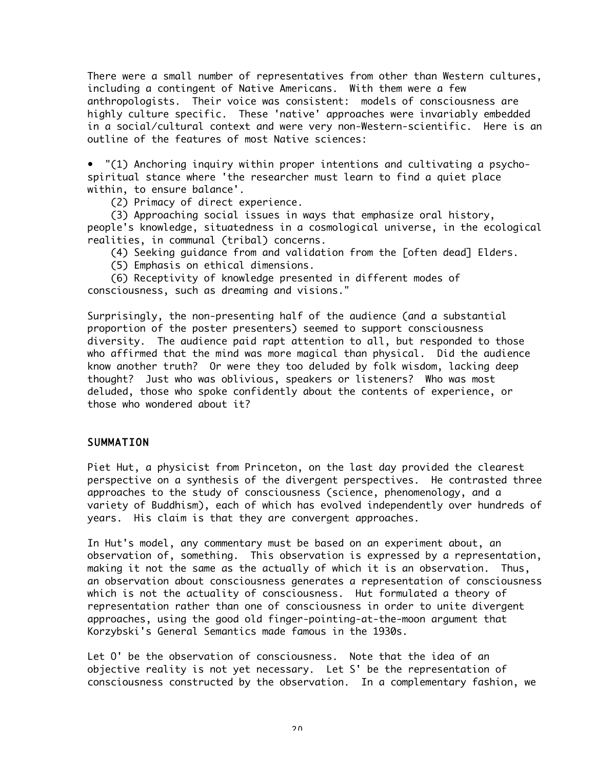There were a small number of representatives from other than Western cultures, including a contingent of Native Americans. With them were a few anthropologists. Their voice was consistent: models of consciousness are highly culture specific. These 'native' approaches were invariably embedded in a social/cultural context and were very non-Western-scientific. Here is an outline of the features of most Native sciences:

• "(1) Anchoring inquiry within proper intentions and cultivating a psychospiritual stance where 'the researcher must learn to find a quiet place within, to ensure balance'.

(2) Primacy of direct experience.

 (3) Approaching social issues in ways that emphasize oral history, people's knowledge, situatedness in a cosmological universe, in the ecological realities, in communal (tribal) concerns.

- (4) Seeking guidance from and validation from the [often dead] Elders.
- (5) Emphasis on ethical dimensions.

 (6) Receptivity of knowledge presented in different modes of consciousness, such as dreaming and visions."

Surprisingly, the non-presenting half of the audience (and a substantial proportion of the poster presenters) seemed to support consciousness diversity. The audience paid rapt attention to all, but responded to those who affirmed that the mind was more magical than physical. Did the audience know another truth? Or were they too deluded by folk wisdom, lacking deep thought? Just who was oblivious, speakers or listeners? Who was most deluded, those who spoke confidently about the contents of experience, or those who wondered about it?

## SUMMATION

Piet Hut, a physicist from Princeton, on the last day provided the clearest perspective on a synthesis of the divergent perspectives. He contrasted three approaches to the study of consciousness (science, phenomenology, and a variety of Buddhism), each of which has evolved independently over hundreds of years. His claim is that they are convergent approaches.

In Hut's model, any commentary must be based on an experiment about, an observation of, something. This observation is expressed by a representation, making it not the same as the actually of which it is an observation. Thus, an observation about consciousness generates a representation of consciousness which is not the actuality of consciousness. Hut formulated a theory of representation rather than one of consciousness in order to unite divergent approaches, using the good old finger-pointing-at-the-moon argument that Korzybski's General Semantics made famous in the 1930s.

Let O' be the observation of consciousness. Note that the idea of an objective reality is not yet necessary. Let S' be the representation of consciousness constructed by the observation. In a complementary fashion, we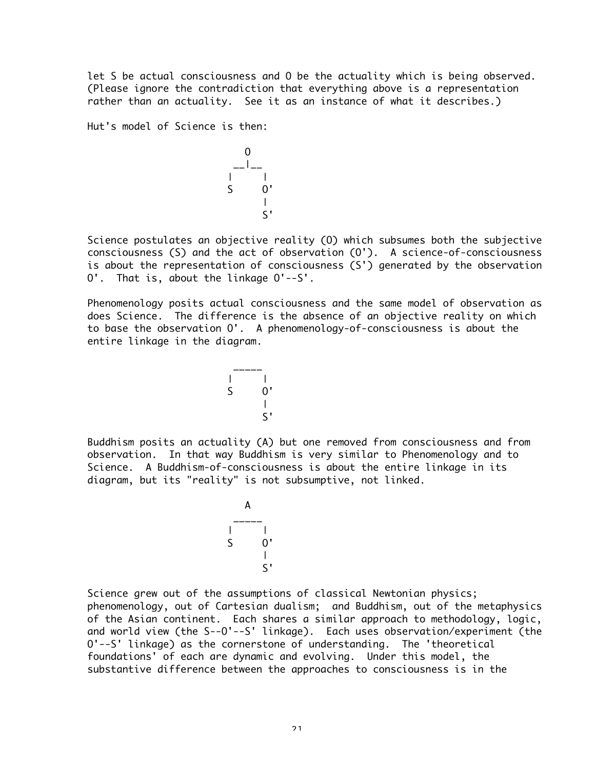let S be actual consciousness and O be the actuality which is being observed. (Please ignore the contradiction that everything above is a representation rather than an actuality. See it as an instance of what it describes.)

Hut's model of Science is then:

 O \_\_|\_\_ | | S O' | S'

Science postulates an objective reality (O) which subsumes both the subjective consciousness (S) and the act of observation (O'). A science-of-consciousness is about the representation of consciousness (S') generated by the observation O'. That is, about the linkage O'--S'.

Phenomenology posits actual consciousness and the same model of observation as does Science. The difference is the absence of an objective reality on which to base the observation O'. A phenomenology-of-consciousness is about the entire linkage in the diagram.

> $\overline{\phantom{a}}$ | | S O' || || || || || || || S'

Buddhism posits an actuality (A) but one removed from consciousness and from observation. In that way Buddhism is very similar to Phenomenology and to Science. A Buddhism-of-consciousness is about the entire linkage in its diagram, but its "reality" is not subsumptive, not linked.

> A  $\overline{\phantom{a}}$ | | S O' || || || || || || || S'

Science grew out of the assumptions of classical Newtonian physics; phenomenology, out of Cartesian dualism; and Buddhism, out of the metaphysics of the Asian continent. Each shares a similar approach to methodology, logic, and world view (the S--O'--S' linkage). Each uses observation/experiment (the O'--S' linkage) as the cornerstone of understanding. The 'theoretical foundations' of each are dynamic and evolving. Under this model, the substantive difference between the approaches to consciousness is in the